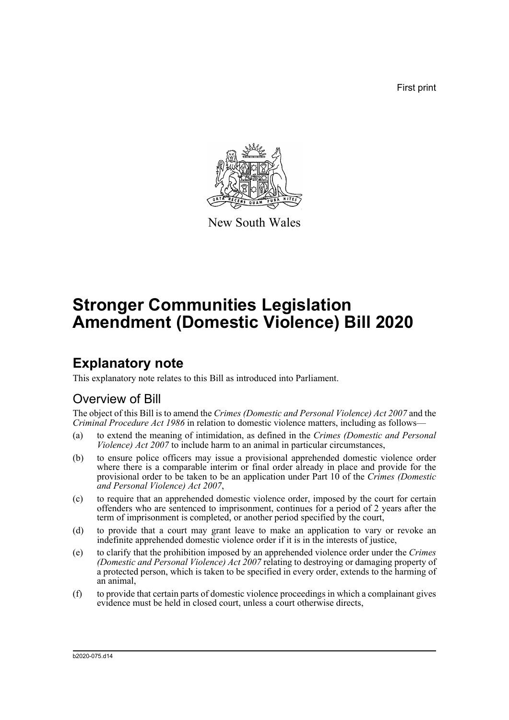First print



New South Wales

# **Stronger Communities Legislation Amendment (Domestic Violence) Bill 2020**

## **Explanatory note**

This explanatory note relates to this Bill as introduced into Parliament.

## Overview of Bill

The object of this Bill is to amend the *Crimes (Domestic and Personal Violence) Act 2007* and the *Criminal Procedure Act 1986* in relation to domestic violence matters, including as follows—

- (a) to extend the meaning of intimidation, as defined in the *Crimes (Domestic and Personal Violence) Act 2007* to include harm to an animal in particular circumstances,
- (b) to ensure police officers may issue a provisional apprehended domestic violence order where there is a comparable interim or final order already in place and provide for the provisional order to be taken to be an application under Part 10 of the *Crimes (Domestic and Personal Violence) Act 2007*,
- (c) to require that an apprehended domestic violence order, imposed by the court for certain offenders who are sentenced to imprisonment, continues for a period of 2 years after the term of imprisonment is completed, or another period specified by the court,
- (d) to provide that a court may grant leave to make an application to vary or revoke an indefinite apprehended domestic violence order if it is in the interests of justice,
- (e) to clarify that the prohibition imposed by an apprehended violence order under the *Crimes (Domestic and Personal Violence) Act 2007* relating to destroying or damaging property of a protected person, which is taken to be specified in every order, extends to the harming of an animal,
- (f) to provide that certain parts of domestic violence proceedings in which a complainant gives evidence must be held in closed court, unless a court otherwise directs,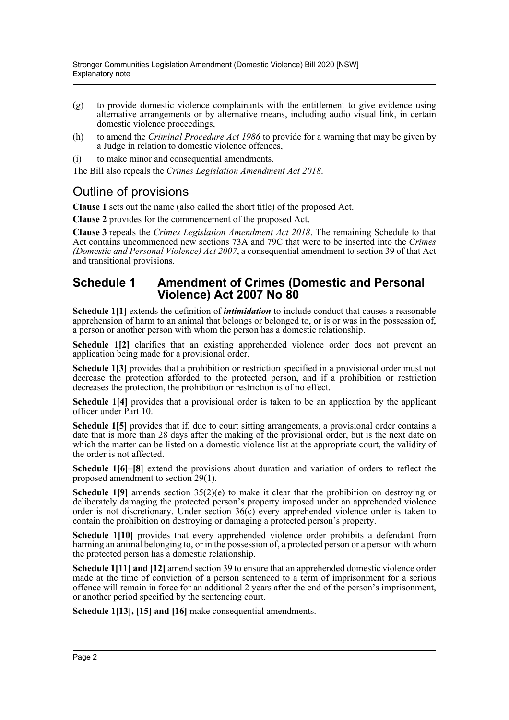- (g) to provide domestic violence complainants with the entitlement to give evidence using alternative arrangements or by alternative means, including audio visual link, in certain domestic violence proceedings,
- (h) to amend the *Criminal Procedure Act 1986* to provide for a warning that may be given by a Judge in relation to domestic violence offences,
- (i) to make minor and consequential amendments.

The Bill also repeals the *Crimes Legislation Amendment Act 2018*.

## Outline of provisions

**Clause 1** sets out the name (also called the short title) of the proposed Act.

**Clause 2** provides for the commencement of the proposed Act.

**Clause 3** repeals the *Crimes Legislation Amendment Act 2018*. The remaining Schedule to that Act contains uncommenced new sections 73A and 79C that were to be inserted into the *Crimes (Domestic and Personal Violence) Act 2007*, a consequential amendment to section 39 of that Act and transitional provisions.

### **Schedule 1 Amendment of Crimes (Domestic and Personal Violence) Act 2007 No 80**

**Schedule 1[1]** extends the definition of *intimidation* to include conduct that causes a reasonable apprehension of harm to an animal that belongs or belonged to, or is or was in the possession of, a person or another person with whom the person has a domestic relationship.

**Schedule 1[2]** clarifies that an existing apprehended violence order does not prevent an application being made for a provisional order.

**Schedule 1[3]** provides that a prohibition or restriction specified in a provisional order must not decrease the protection afforded to the protected person, and if a prohibition or restriction decreases the protection, the prohibition or restriction is of no effect.

**Schedule 1[4]** provides that a provisional order is taken to be an application by the applicant officer under Part 10.

Schedule 1<sup>[5]</sup> provides that if, due to court sitting arrangements, a provisional order contains a date that is more than 28 days after the making of the provisional order, but is the next date on which the matter can be listed on a domestic violence list at the appropriate court, the validity of the order is not affected.

**Schedule 1[6]–[8]** extend the provisions about duration and variation of orders to reflect the proposed amendment to section 29(1).

**Schedule 1[9]** amends section 35(2)(e) to make it clear that the prohibition on destroying or deliberately damaging the protected person's property imposed under an apprehended violence order is not discretionary. Under section  $36(c)$  every apprehended violence order is taken to contain the prohibition on destroying or damaging a protected person's property.

**Schedule 1[10]** provides that every apprehended violence order prohibits a defendant from harming an animal belonging to, or in the possession of, a protected person or a person with whom the protected person has a domestic relationship.

**Schedule 1[11] and [12]** amend section 39 to ensure that an apprehended domestic violence order made at the time of conviction of a person sentenced to a term of imprisonment for a serious offence will remain in force for an additional 2 years after the end of the person's imprisonment, or another period specified by the sentencing court.

**Schedule 1[13], [15] and [16]** make consequential amendments.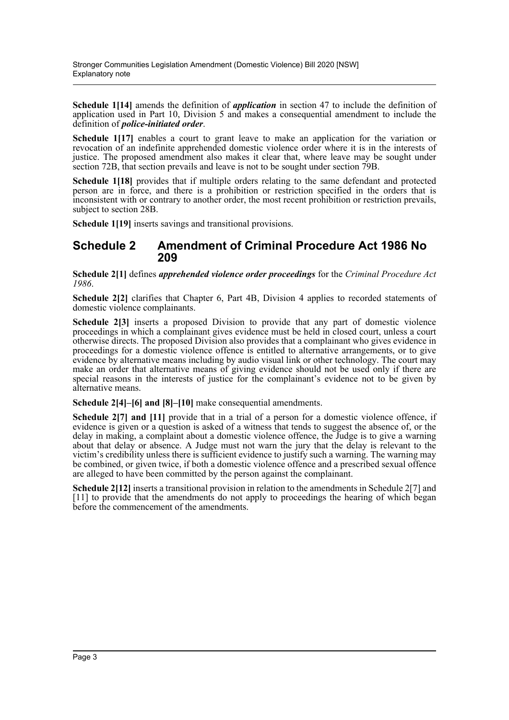**Schedule 1[14]** amends the definition of *application* in section 47 to include the definition of application used in Part 10, Division 5 and makes a consequential amendment to include the definition of *police-initiated order*.

**Schedule 1[17]** enables a court to grant leave to make an application for the variation or revocation of an indefinite apprehended domestic violence order where it is in the interests of justice. The proposed amendment also makes it clear that, where leave may be sought under section 72B, that section prevails and leave is not to be sought under section 79B.

**Schedule 1[18]** provides that if multiple orders relating to the same defendant and protected person are in force, and there is a prohibition or restriction specified in the orders that is inconsistent with or contrary to another order, the most recent prohibition or restriction prevails, subject to section 28B.

**Schedule 1[19]** inserts savings and transitional provisions.

### **Schedule 2 Amendment of Criminal Procedure Act 1986 No 209**

**Schedule 2[1]** defines *apprehended violence order proceedings* for the *Criminal Procedure Act 1986*.

**Schedule 2[2]** clarifies that Chapter 6, Part 4B, Division 4 applies to recorded statements of domestic violence complainants.

**Schedule 2[3]** inserts a proposed Division to provide that any part of domestic violence proceedings in which a complainant gives evidence must be held in closed court, unless a court otherwise directs. The proposed Division also provides that a complainant who gives evidence in proceedings for a domestic violence offence is entitled to alternative arrangements, or to give evidence by alternative means including by audio visual link or other technology. The court may make an order that alternative means of giving evidence should not be used only if there are special reasons in the interests of justice for the complainant's evidence not to be given by alternative means.

**Schedule 2[4]–[6] and [8]–[10]** make consequential amendments.

**Schedule 2[7] and [11]** provide that in a trial of a person for a domestic violence offence, if evidence is given or a question is asked of a witness that tends to suggest the absence of, or the delay in making, a complaint about a domestic violence offence, the Judge is to give a warning about that delay or absence. A Judge must not warn the jury that the delay is relevant to the victim's credibility unless there is sufficient evidence to justify such a warning. The warning may be combined, or given twice, if both a domestic violence offence and a prescribed sexual offence are alleged to have been committed by the person against the complainant.

**Schedule 2[12]** inserts a transitional provision in relation to the amendments in Schedule 2[7] and [11] to provide that the amendments do not apply to proceedings the hearing of which began before the commencement of the amendments.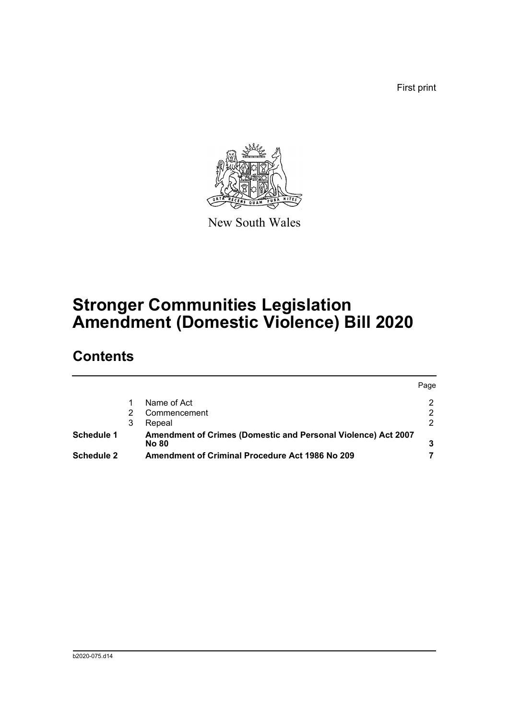First print



New South Wales

# **Stronger Communities Legislation Amendment (Domestic Violence) Bill 2020**

## **Contents**

|            |   |                                                                               | Page |
|------------|---|-------------------------------------------------------------------------------|------|
|            |   | Name of Act                                                                   |      |
|            |   | Commencement                                                                  |      |
|            | 3 | Repeal                                                                        |      |
| Schedule 1 |   | Amendment of Crimes (Domestic and Personal Violence) Act 2007<br><b>No 80</b> |      |
| Schedule 2 |   | Amendment of Criminal Procedure Act 1986 No 209                               |      |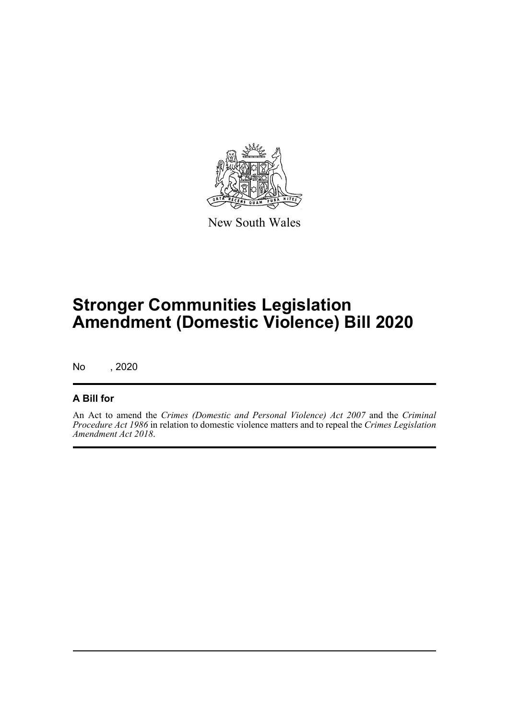

New South Wales

# **Stronger Communities Legislation Amendment (Domestic Violence) Bill 2020**

No , 2020

### **A Bill for**

An Act to amend the *Crimes (Domestic and Personal Violence) Act 2007* and the *Criminal Procedure Act 1986* in relation to domestic violence matters and to repeal the *Crimes Legislation Amendment Act 2018*.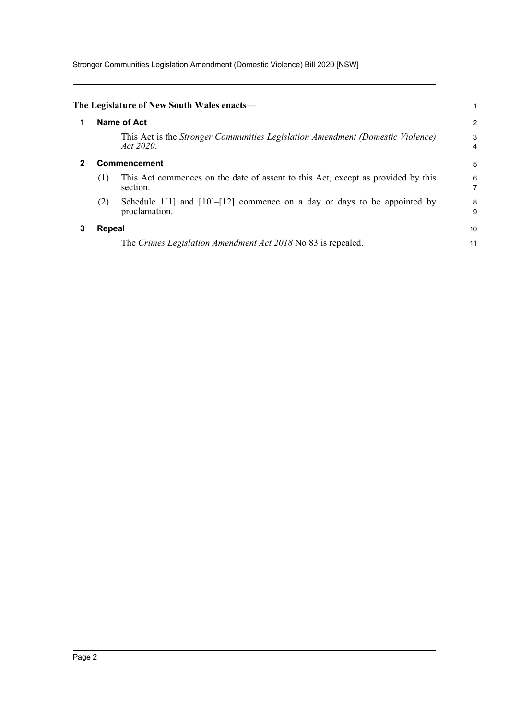Stronger Communities Legislation Amendment (Domestic Violence) Bill 2020 [NSW]

<span id="page-5-2"></span><span id="page-5-1"></span><span id="page-5-0"></span>

| 1 | <b>Name of Act</b>  |                                                                                                                                                      |                     |  |  |  |
|---|---------------------|------------------------------------------------------------------------------------------------------------------------------------------------------|---------------------|--|--|--|
|   |                     | This Act is the <i>Stronger Communities Legislation Amendment (Domestic Violence)</i><br>Act 2020.                                                   | 3<br>$\overline{4}$ |  |  |  |
|   | <b>Commencement</b> |                                                                                                                                                      |                     |  |  |  |
|   | (1)                 | This Act commences on the date of assent to this Act, except as provided by this<br>section.                                                         | 6<br>$\overline{7}$ |  |  |  |
|   | (2)                 | Schedule $1\begin{bmatrix}1\\1\end{bmatrix}$ and $\begin{bmatrix}10\\-12\end{bmatrix}$ commence on a day or days to be appointed by<br>proclamation. | 8<br>9              |  |  |  |
| 3 |                     | Repeal                                                                                                                                               |                     |  |  |  |
|   |                     | The Crimes Legislation Amendment Act 2018 No 83 is repealed.                                                                                         | 11                  |  |  |  |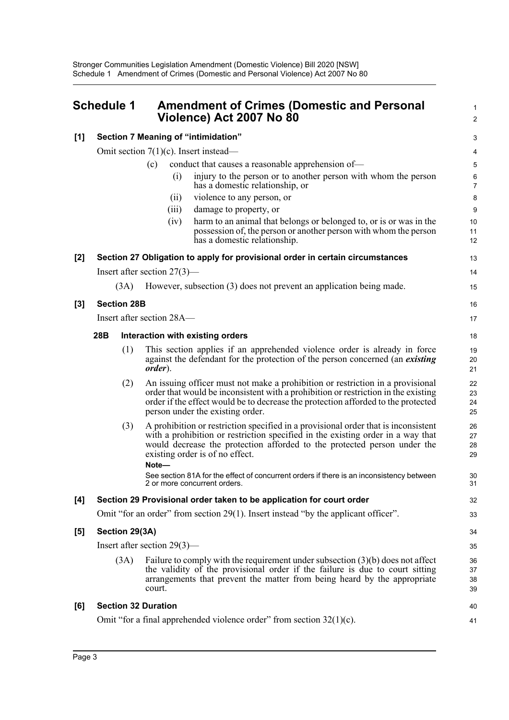<span id="page-6-0"></span>

|       | <b>Schedule 1</b>  | <b>Amendment of Crimes (Domestic and Personal</b><br>Violence) Act 2007 No 80                                                                                                                                                                                                                 | 1<br>$\overline{2}$  |
|-------|--------------------|-----------------------------------------------------------------------------------------------------------------------------------------------------------------------------------------------------------------------------------------------------------------------------------------------|----------------------|
| [1]   |                    | Section 7 Meaning of "intimidation"                                                                                                                                                                                                                                                           | 3                    |
|       |                    | Omit section $7(1)(c)$ . Insert instead—                                                                                                                                                                                                                                                      | 4                    |
|       |                    | conduct that causes a reasonable apprehension of—<br>(c)                                                                                                                                                                                                                                      | 5                    |
|       |                    | (i)<br>injury to the person or to another person with whom the person<br>has a domestic relationship, or                                                                                                                                                                                      | 6<br>$\overline{7}$  |
|       |                    | violence to any person, or<br>(11)                                                                                                                                                                                                                                                            | 8                    |
|       |                    | damage to property, or<br>(iii)                                                                                                                                                                                                                                                               | 9                    |
|       |                    | harm to an animal that belongs or belonged to, or is or was in the<br>(iv)<br>possession of, the person or another person with whom the person<br>has a domestic relationship.                                                                                                                | 10<br>11<br>12       |
| $[2]$ |                    | Section 27 Obligation to apply for provisional order in certain circumstances                                                                                                                                                                                                                 | 13                   |
|       |                    | Insert after section $27(3)$ —                                                                                                                                                                                                                                                                | 14                   |
|       | (3A)               | However, subsection (3) does not prevent an application being made.                                                                                                                                                                                                                           | 15                   |
| $[3]$ | <b>Section 28B</b> |                                                                                                                                                                                                                                                                                               | 16                   |
|       |                    | Insert after section 28A-                                                                                                                                                                                                                                                                     | 17                   |
|       | 28B                | Interaction with existing orders                                                                                                                                                                                                                                                              | 18                   |
|       | (1)                | This section applies if an apprehended violence order is already in force<br>against the defendant for the protection of the person concerned (an existing<br><i>order</i> ).                                                                                                                 | 19<br>20<br>21       |
|       | (2)                | An issuing officer must not make a prohibition or restriction in a provisional<br>order that would be inconsistent with a prohibition or restriction in the existing<br>order if the effect would be to decrease the protection afforded to the protected<br>person under the existing order. | 22<br>23<br>24<br>25 |
|       | (3)                | A prohibition or restriction specified in a provisional order that is inconsistent<br>with a prohibition or restriction specified in the existing order in a way that<br>would decrease the protection afforded to the protected person under the<br>existing order is of no effect.<br>Note- | 26<br>27<br>28<br>29 |
|       |                    | See section 81A for the effect of concurrent orders if there is an inconsistency between<br>2 or more concurrent orders.                                                                                                                                                                      | 30<br>31             |
| [4]   |                    | Section 29 Provisional order taken to be application for court order                                                                                                                                                                                                                          | 32                   |
|       |                    | Omit "for an order" from section 29(1). Insert instead "by the applicant officer".                                                                                                                                                                                                            | 33                   |
| [5]   | Section 29(3A)     |                                                                                                                                                                                                                                                                                               | 34                   |
|       |                    | Insert after section $29(3)$ —                                                                                                                                                                                                                                                                | 35                   |
|       | (3A)               | Failure to comply with the requirement under subsection $(3)(b)$ does not affect<br>the validity of the provisional order if the failure is due to court sitting<br>arrangements that prevent the matter from being heard by the appropriate<br>court.                                        | 36<br>37<br>38<br>39 |

### **[6] Section 32 Duration**

Omit "for a final apprehended violence order" from section  $32(1)(c)$ .

40 41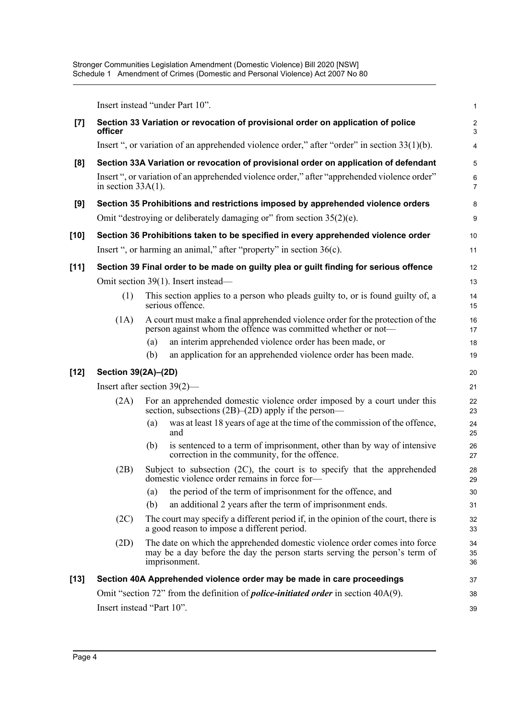|        |                                |     | Insert instead "under Part 10".                                                                                                                                           | $\mathbf{1}$          |  |  |
|--------|--------------------------------|-----|---------------------------------------------------------------------------------------------------------------------------------------------------------------------------|-----------------------|--|--|
| [7]    | officer                        |     | Section 33 Variation or revocation of provisional order on application of police                                                                                          | $\boldsymbol{2}$<br>3 |  |  |
|        |                                |     | Insert ", or variation of an apprehended violence order," after "order" in section 33(1)(b).                                                                              | $\overline{4}$        |  |  |
| [8]    |                                |     | Section 33A Variation or revocation of provisional order on application of defendant                                                                                      | 5                     |  |  |
|        | in section $33A(1)$ .          |     | Insert ", or variation of an apprehended violence order," after "apprehended violence order"                                                                              | $\,6\,$<br>7          |  |  |
| [9]    |                                |     | Section 35 Prohibitions and restrictions imposed by apprehended violence orders                                                                                           | 8                     |  |  |
|        |                                |     | Omit "destroying or deliberately damaging or" from section $35(2)(e)$ .                                                                                                   | 9                     |  |  |
| $[10]$ |                                |     | Section 36 Prohibitions taken to be specified in every apprehended violence order                                                                                         | 10                    |  |  |
|        |                                |     | Insert ", or harming an animal," after "property" in section $36(c)$ .                                                                                                    | 11                    |  |  |
| $[11]$ |                                |     | Section 39 Final order to be made on guilty plea or guilt finding for serious offence                                                                                     | 12                    |  |  |
|        |                                |     | Omit section 39(1). Insert instead—                                                                                                                                       | 13                    |  |  |
|        | (1)                            |     | This section applies to a person who pleads guilty to, or is found guilty of, a<br>serious offence.                                                                       | 14<br>15              |  |  |
|        | (1A)                           |     | A court must make a final apprehended violence order for the protection of the<br>person against whom the offence was committed whether or not—                           | 16<br>17              |  |  |
|        |                                | (a) | an interim apprehended violence order has been made, or                                                                                                                   | 18                    |  |  |
|        |                                | (b) | an application for an apprehended violence order has been made.                                                                                                           | 19                    |  |  |
| $[12]$ | Section 39(2A)-(2D)            |     |                                                                                                                                                                           |                       |  |  |
|        | Insert after section $39(2)$ — |     |                                                                                                                                                                           | 21                    |  |  |
|        | (2A)                           |     | For an apprehended domestic violence order imposed by a court under this<br>section, subsections $(2B)$ – $(2D)$ apply if the person–                                     | 22<br>23              |  |  |
|        |                                | (a) | was at least 18 years of age at the time of the commission of the offence,<br>and                                                                                         | 24<br>25              |  |  |
|        |                                | (b) | is sentenced to a term of imprisonment, other than by way of intensive<br>correction in the community, for the offence.                                                   | 26<br>27              |  |  |
|        | (2B)                           |     | Subject to subsection $(2C)$ , the court is to specify that the apprehended<br>domestic violence order remains in force for-                                              | 28<br>29              |  |  |
|        |                                | (a) | the period of the term of imprisonment for the offence, and                                                                                                               | 30                    |  |  |
|        |                                | (b) | an additional 2 years after the term of imprisonment ends.                                                                                                                | 31                    |  |  |
|        | (2C)                           |     | The court may specify a different period if, in the opinion of the court, there is<br>a good reason to impose a different period.                                         | 32<br>33              |  |  |
|        | (2D)                           |     | The date on which the apprehended domestic violence order comes into force<br>may be a day before the day the person starts serving the person's term of<br>imprisonment. | 34<br>35<br>36        |  |  |
| $[13]$ |                                |     | Section 40A Apprehended violence order may be made in care proceedings                                                                                                    | 37                    |  |  |
|        |                                |     | Omit "section 72" from the definition of <i>police-initiated order</i> in section $40A(9)$ .                                                                              | 38                    |  |  |
|        | Insert instead "Part 10".      |     |                                                                                                                                                                           | 39                    |  |  |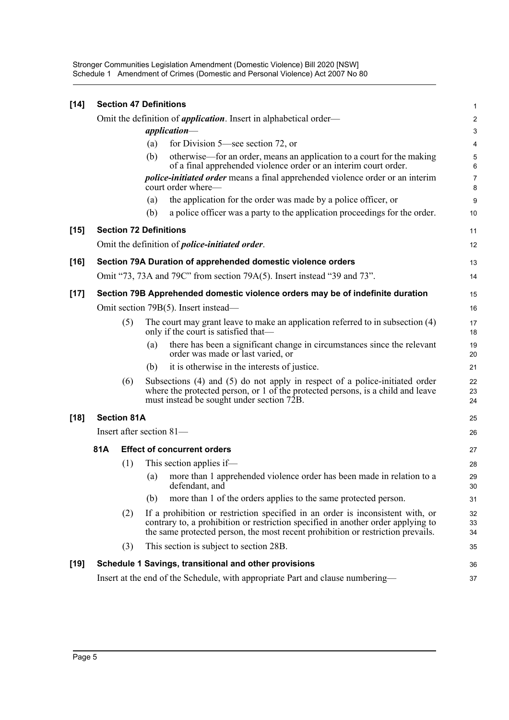Stronger Communities Legislation Amendment (Domestic Violence) Bill 2020 [NSW] Schedule 1 Amendment of Crimes (Domestic and Personal Violence) Act 2007 No 80

| $[14]$ |                                                                                | <b>Section 47 Definitions</b> |     |                                                                                                                                                                                                                                                       | 1              |  |  |
|--------|--------------------------------------------------------------------------------|-------------------------------|-----|-------------------------------------------------------------------------------------------------------------------------------------------------------------------------------------------------------------------------------------------------------|----------------|--|--|
|        | Omit the definition of <i>application</i> . Insert in alphabetical order—      |                               |     |                                                                                                                                                                                                                                                       |                |  |  |
|        |                                                                                |                               |     | application-                                                                                                                                                                                                                                          | 3              |  |  |
|        |                                                                                |                               | (a) | for Division 5—see section 72, or                                                                                                                                                                                                                     | 4              |  |  |
|        |                                                                                |                               | (b) | otherwise—for an order, means an application to a court for the making<br>of a final apprehended violence order or an interim court order.                                                                                                            | 5<br>6         |  |  |
|        |                                                                                |                               |     | <i>police-initiated order</i> means a final apprehended violence order or an interim<br>court order where-                                                                                                                                            | 7<br>8         |  |  |
|        |                                                                                |                               | (a) | the application for the order was made by a police officer, or                                                                                                                                                                                        | 9              |  |  |
|        |                                                                                |                               | (b) | a police officer was a party to the application proceedings for the order.                                                                                                                                                                            | 10             |  |  |
| $[15]$ |                                                                                | <b>Section 72 Definitions</b> |     |                                                                                                                                                                                                                                                       | 11             |  |  |
|        |                                                                                |                               |     | Omit the definition of <i>police-initiated order</i> .                                                                                                                                                                                                | 12             |  |  |
| $[16]$ |                                                                                |                               |     | Section 79A Duration of apprehended domestic violence orders                                                                                                                                                                                          | 13             |  |  |
|        |                                                                                |                               |     | Omit "73, 73A and 79C" from section 79A(5). Insert instead "39 and 73".                                                                                                                                                                               | 14             |  |  |
| $[17]$ | Section 79B Apprehended domestic violence orders may be of indefinite duration |                               |     |                                                                                                                                                                                                                                                       |                |  |  |
|        |                                                                                |                               |     | Omit section 79B(5). Insert instead—                                                                                                                                                                                                                  | 16             |  |  |
|        | (5)                                                                            |                               |     | The court may grant leave to make an application referred to in subsection $(4)$<br>only if the court is satisfied that—                                                                                                                              | 17<br>18       |  |  |
|        |                                                                                |                               | (a) | there has been a significant change in circumstances since the relevant<br>order was made or last varied, or                                                                                                                                          | 19<br>20       |  |  |
|        |                                                                                |                               | (b) | it is otherwise in the interests of justice.                                                                                                                                                                                                          | 21             |  |  |
|        |                                                                                | (6)                           |     | Subsections (4) and (5) do not apply in respect of a police-initiated order<br>where the protected person, or 1 of the protected persons, is a child and leave<br>must instead be sought under section 72B.                                           | 22<br>23<br>24 |  |  |
| $[18]$ | <b>Section 81A</b>                                                             |                               |     |                                                                                                                                                                                                                                                       |                |  |  |
|        | Insert after section 81-                                                       |                               |     |                                                                                                                                                                                                                                                       |                |  |  |
|        | 81A                                                                            |                               |     | <b>Effect of concurrent orders</b>                                                                                                                                                                                                                    | 27             |  |  |
|        |                                                                                | (1)                           |     | This section applies if—                                                                                                                                                                                                                              | 28             |  |  |
|        |                                                                                |                               | (a) | more than 1 apprehended violence order has been made in relation to a<br>defendant, and                                                                                                                                                               | 29<br>30       |  |  |
|        |                                                                                |                               | (b) | more than 1 of the orders applies to the same protected person.                                                                                                                                                                                       | 31             |  |  |
|        |                                                                                | (2)                           |     | If a prohibition or restriction specified in an order is inconsistent with, or<br>contrary to, a prohibition or restriction specified in another order applying to<br>the same protected person, the most recent prohibition or restriction prevails. | 32<br>33<br>34 |  |  |
|        |                                                                                | (3)                           |     | This section is subject to section 28B.                                                                                                                                                                                                               | 35             |  |  |
| $[19]$ |                                                                                |                               |     | Schedule 1 Savings, transitional and other provisions                                                                                                                                                                                                 | 36             |  |  |
|        |                                                                                |                               |     | Insert at the end of the Schedule, with appropriate Part and clause numbering-                                                                                                                                                                        | 37             |  |  |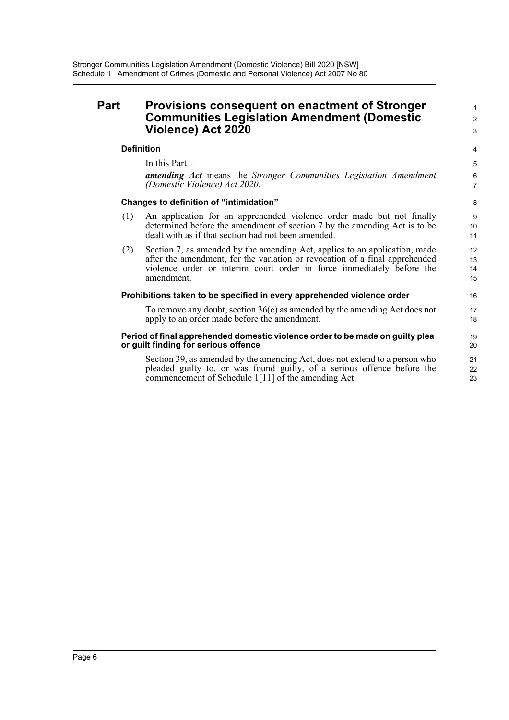## **Part Provisions consequent on enactment of Stronger Communities Legislation Amendment (Domestic Violence) Act 2020**

### **Definition**

In this Part—

*amending Act* means the *Stronger Communities Legislation Amendment (Domestic Violence) Act 2020*.

1  $\overline{2}$ 3

#### **Changes to definition of "intimidation"**

- (1) An application for an apprehended violence order made but not finally determined before the amendment of section 7 by the amending Act is to be dealt with as if that section had not been amended.
- (2) Section 7, as amended by the amending Act, applies to an application, made after the amendment, for the variation or revocation of a final apprehended violence order or interim court order in force immediately before the amendment.

#### **Prohibitions taken to be specified in every apprehended violence order**

To remove any doubt, section 36(c) as amended by the amending Act does not apply to an order made before the amendment.

#### **Period of final apprehended domestic violence order to be made on guilty plea or guilt finding for serious offence**

Section 39, as amended by the amending Act, does not extend to a person who pleaded guilty to, or was found guilty, of a serious offence before the commencement of Schedule 1[11] of the amending Act.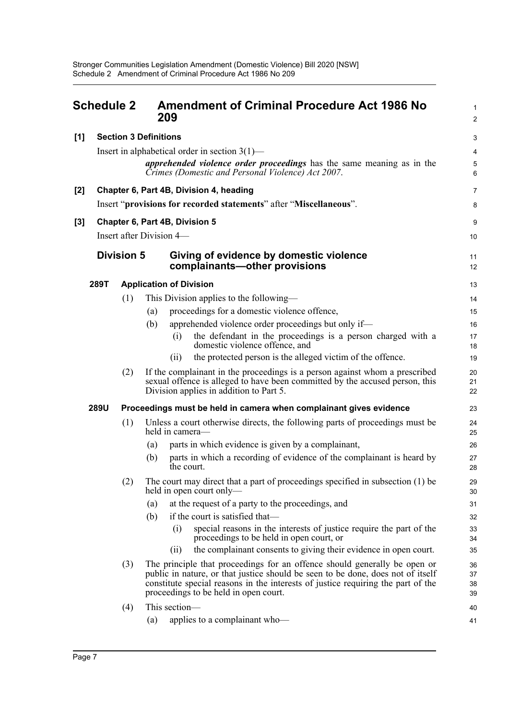<span id="page-10-0"></span>

|       | <b>Schedule 2</b> |                   | <b>Amendment of Criminal Procedure Act 1986 No</b><br>209                                                                                                                                                                                                                                 | 1<br>$\overline{2}$     |
|-------|-------------------|-------------------|-------------------------------------------------------------------------------------------------------------------------------------------------------------------------------------------------------------------------------------------------------------------------------------------|-------------------------|
| [1]   |                   |                   | <b>Section 3 Definitions</b>                                                                                                                                                                                                                                                              | 3                       |
|       |                   |                   | Insert in alphabetical order in section $3(1)$ —                                                                                                                                                                                                                                          | $\overline{\mathbf{4}}$ |
|       |                   |                   | <i>apprehended violence order proceedings</i> has the same meaning as in the<br>Crimes (Domestic and Personal Violence) Act 2007.                                                                                                                                                         | $\mathbf 5$<br>6        |
| $[2]$ |                   |                   | Chapter 6, Part 4B, Division 4, heading                                                                                                                                                                                                                                                   | $\overline{7}$          |
|       |                   |                   | Insert "provisions for recorded statements" after "Miscellaneous".                                                                                                                                                                                                                        | 8                       |
| $[3]$ |                   |                   | Chapter 6, Part 4B, Division 5                                                                                                                                                                                                                                                            | 9                       |
|       |                   |                   | Insert after Division 4—                                                                                                                                                                                                                                                                  | 10                      |
|       |                   | <b>Division 5</b> | Giving of evidence by domestic violence<br>complainants-other provisions                                                                                                                                                                                                                  | 11<br>12                |
|       | 289T              |                   | <b>Application of Division</b>                                                                                                                                                                                                                                                            | 13                      |
|       |                   | (1)               | This Division applies to the following—                                                                                                                                                                                                                                                   | 14                      |
|       |                   |                   | proceedings for a domestic violence offence,<br>(a)                                                                                                                                                                                                                                       | 15                      |
|       |                   |                   | apprehended violence order proceedings but only if—<br>(b)                                                                                                                                                                                                                                | 16                      |
|       |                   |                   | the defendant in the proceedings is a person charged with a<br>(i)<br>domestic violence offence, and                                                                                                                                                                                      | 17<br>18                |
|       |                   |                   | the protected person is the alleged victim of the offence.<br>(i)                                                                                                                                                                                                                         | 19                      |
|       |                   | (2)               | If the complainant in the proceedings is a person against whom a prescribed<br>sexual offence is alleged to have been committed by the accused person, this<br>Division applies in addition to Part 5.                                                                                    | 20<br>21<br>22          |
|       | <b>289U</b>       |                   | Proceedings must be held in camera when complainant gives evidence                                                                                                                                                                                                                        | 23                      |
|       |                   | (1)               | Unless a court otherwise directs, the following parts of proceedings must be<br>held in camera-                                                                                                                                                                                           | 24<br>25                |
|       |                   |                   | parts in which evidence is given by a complainant,<br>(a)                                                                                                                                                                                                                                 | 26                      |
|       |                   |                   | parts in which a recording of evidence of the complainant is heard by<br>(b)<br>the court.                                                                                                                                                                                                | 27<br>28                |
|       |                   | (2)               | The court may direct that a part of proceedings specified in subsection (1) be<br>held in open court only—                                                                                                                                                                                | 29<br>30                |
|       |                   |                   | at the request of a party to the proceedings, and<br>(a)                                                                                                                                                                                                                                  | 31                      |
|       |                   |                   | if the court is satisfied that—<br>(b)                                                                                                                                                                                                                                                    | 32                      |
|       |                   |                   | special reasons in the interests of justice require the part of the<br>(i)<br>proceedings to be held in open court, or                                                                                                                                                                    | 33<br>34                |
|       |                   |                   | the complainant consents to giving their evidence in open court.<br>(i)                                                                                                                                                                                                                   | 35                      |
|       |                   | (3)               | The principle that proceedings for an offence should generally be open or<br>public in nature, or that justice should be seen to be done, does not of itself<br>constitute special reasons in the interests of justice requiring the part of the<br>proceedings to be held in open court. | 36<br>37<br>38<br>39    |
|       |                   | (4)               | This section-                                                                                                                                                                                                                                                                             | 40                      |
|       |                   |                   | applies to a complainant who-<br>(a)                                                                                                                                                                                                                                                      | 41                      |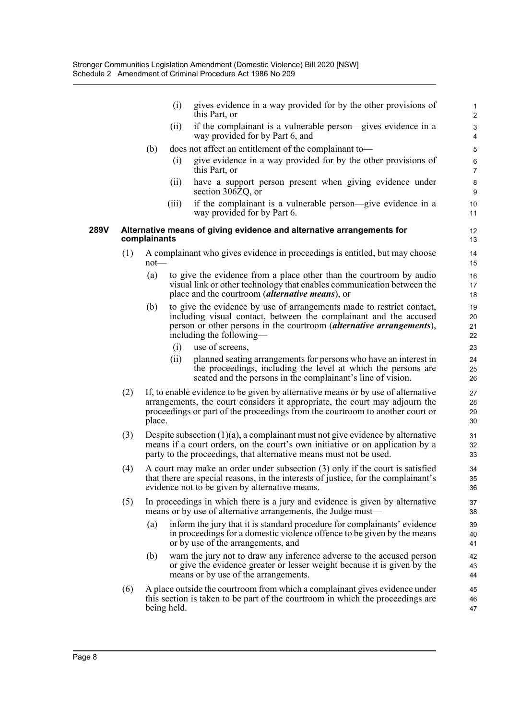(i) gives evidence in a way provided for by the other provisions of this Part, or

- (ii) if the complainant is a vulnerable person—gives evidence in a way provided for by Part 6, and
- (b) does not affect an entitlement of the complainant to—
	- (i) give evidence in a way provided for by the other provisions of this Part, or
	- (ii) have a support person present when giving evidence under section 306ZQ, or
	- (iii) if the complainant is a vulnerable person—give evidence in a way provided for by Part 6.

#### **289V Alternative means of giving evidence and alternative arrangements for complainants**

- (1) A complainant who gives evidence in proceedings is entitled, but may choose not—
	- (a) to give the evidence from a place other than the courtroom by audio visual link or other technology that enables communication between the place and the courtroom (*alternative means*), or
	- (b) to give the evidence by use of arrangements made to restrict contact, including visual contact, between the complainant and the accused person or other persons in the courtroom (*alternative arrangements*), including the following—
		- (i) use of screens,
		- (ii) planned seating arrangements for persons who have an interest in the proceedings, including the level at which the persons are seated and the persons in the complainant's line of vision.
- (2) If, to enable evidence to be given by alternative means or by use of alternative arrangements, the court considers it appropriate, the court may adjourn the proceedings or part of the proceedings from the courtroom to another court or place.
- (3) Despite subsection  $(1)(a)$ , a complainant must not give evidence by alternative means if a court orders, on the court's own initiative or on application by a party to the proceedings, that alternative means must not be used.
- (4) A court may make an order under subsection (3) only if the court is satisfied that there are special reasons, in the interests of justice, for the complainant's evidence not to be given by alternative means.
- (5) In proceedings in which there is a jury and evidence is given by alternative means or by use of alternative arrangements, the Judge must—
	- (a) inform the jury that it is standard procedure for complainants' evidence in proceedings for a domestic violence offence to be given by the means or by use of the arrangements, and
	- (b) warn the jury not to draw any inference adverse to the accused person or give the evidence greater or lesser weight because it is given by the means or by use of the arrangements.
- (6) A place outside the courtroom from which a complainant gives evidence under this section is taken to be part of the courtroom in which the proceedings are being held.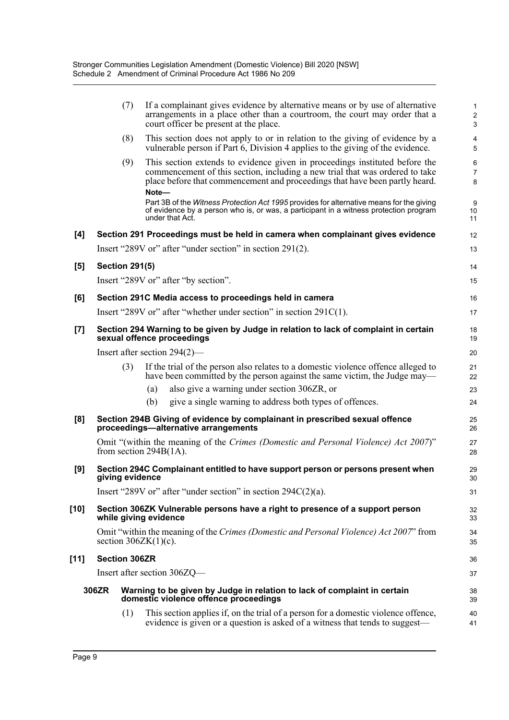|       |       | (7)                       |       | If a complainant gives evidence by alternative means or by use of alternative<br>arrangements in a place other than a courtroom, the court may order that a<br>court officer be present at the place.                                      | $\mathbf{1}$<br>$\sqrt{2}$<br>3 |
|-------|-------|---------------------------|-------|--------------------------------------------------------------------------------------------------------------------------------------------------------------------------------------------------------------------------------------------|---------------------------------|
|       |       | (8)                       |       | This section does not apply to or in relation to the giving of evidence by a<br>vulnerable person if Part 6, Division 4 applies to the giving of the evidence.                                                                             | 4<br>5                          |
|       |       | (9)                       | Note- | This section extends to evidence given in proceedings instituted before the<br>commencement of this section, including a new trial that was ordered to take<br>place before that commencement and proceedings that have been partly heard. | 6<br>$\overline{7}$<br>8        |
|       |       |                           |       | Part 3B of the Witness Protection Act 1995 provides for alternative means for the giving<br>of evidence by a person who is, or was, a participant in a witness protection program<br>under that Act.                                       | 9<br>10<br>11                   |
| [4]   |       |                           |       | Section 291 Proceedings must be held in camera when complainant gives evidence                                                                                                                                                             | 12                              |
|       |       |                           |       | Insert "289V or" after "under section" in section $291(2)$ .                                                                                                                                                                               | 13                              |
| [5]   |       | <b>Section 291(5)</b>     |       |                                                                                                                                                                                                                                            | 14                              |
|       |       |                           |       | Insert "289V or" after "by section".                                                                                                                                                                                                       | 15                              |
| [6]   |       |                           |       | Section 291C Media access to proceedings held in camera                                                                                                                                                                                    | 16                              |
|       |       |                           |       | Insert "289V or" after "whether under section" in section $291C(1)$ .                                                                                                                                                                      | 17                              |
| $[7]$ |       |                           |       | Section 294 Warning to be given by Judge in relation to lack of complaint in certain<br>sexual offence proceedings                                                                                                                         | 18<br>19                        |
|       |       |                           |       | Insert after section $294(2)$ —                                                                                                                                                                                                            | 20                              |
|       |       | (3)                       |       | If the trial of the person also relates to a domestic violence offence alleged to<br>have been committed by the person against the same victim, the Judge may—                                                                             | 21<br>22                        |
|       |       |                           | (a)   | also give a warning under section 306ZR, or                                                                                                                                                                                                | 23                              |
|       |       |                           | (b)   | give a single warning to address both types of offences.                                                                                                                                                                                   | 24                              |
| [8]   |       |                           |       | Section 294B Giving of evidence by complainant in prescribed sexual offence<br>proceedings-alternative arrangements                                                                                                                        | 25<br>26                        |
|       |       | from section $294B(1A)$ . |       | Omit "(within the meaning of the Crimes (Domestic and Personal Violence) Act 2007)"                                                                                                                                                        | 27<br>28                        |
| [9]   |       | giving evidence           |       | Section 294C Complainant entitled to have support person or persons present when                                                                                                                                                           | 29<br>30                        |
|       |       |                           |       | Insert "289V or" after "under section" in section $294C(2)(a)$ .                                                                                                                                                                           | 31                              |
| [10]  |       | while giving evidence     |       | Section 306ZK Vulnerable persons have a right to presence of a support person                                                                                                                                                              | 32<br>33                        |
|       |       | section $306ZK(1)(c)$ .   |       | Omit "within the meaning of the Crimes (Domestic and Personal Violence) Act 2007" from                                                                                                                                                     | 34<br>35                        |
| [11]  |       | <b>Section 306ZR</b>      |       |                                                                                                                                                                                                                                            | 36                              |
|       |       |                           |       | Insert after section 306ZQ—                                                                                                                                                                                                                | 37                              |
|       | 306ZR |                           |       | Warning to be given by Judge in relation to lack of complaint in certain<br>domestic violence offence proceedings                                                                                                                          | 38<br>39                        |
|       |       | (1)                       |       | This section applies if, on the trial of a person for a domestic violence offence,<br>evidence is given or a question is asked of a witness that tends to suggest—                                                                         | 40<br>41                        |
|       |       |                           |       |                                                                                                                                                                                                                                            |                                 |